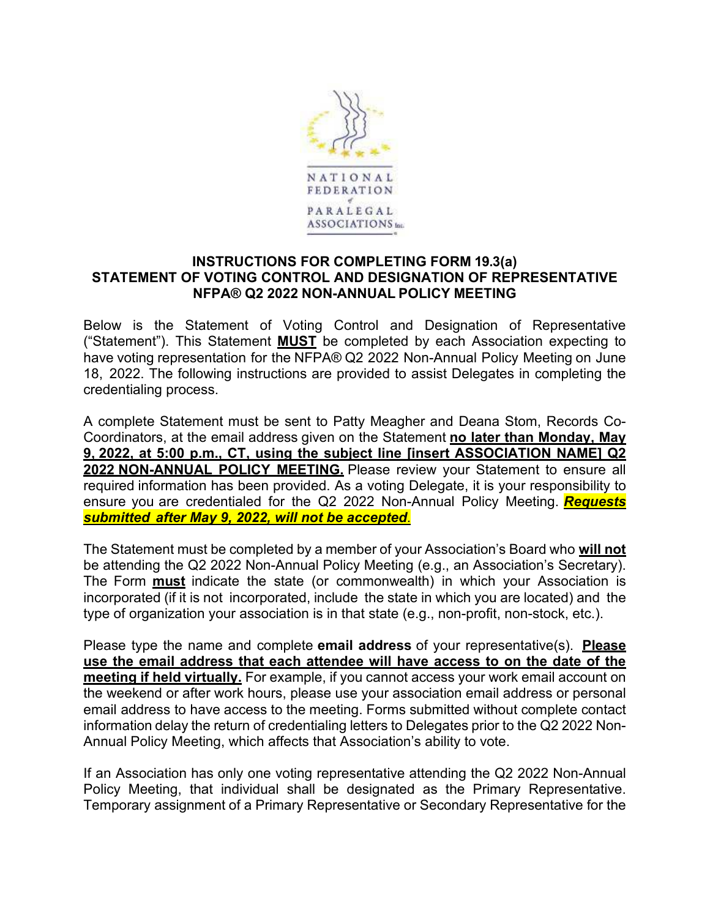

## **INSTRUCTIONS FOR COMPLETING FORM 19.3(a) STATEMENT OF VOTING CONTROL AND DESIGNATION OF REPRESENTATIVE NFPA® Q2 2022 NON-ANNUAL POLICY MEETING**

Below is the Statement of Voting Control and Designation of Representative ("Statement"). This Statement **MUST** be completed by each Association expecting to have voting representation for the NFPA® Q2 2022 Non-Annual Policy Meeting on June 18, 2022. The following instructions are provided to assist Delegates in completing the credentialing process.

A complete Statement must be sent to Patty Meagher and Deana Stom, Records Co-Coordinators, at the email address given on the Statement **no later than Monday, May 9, 2022, at 5:00 p.m., CT, using the subject line [insert ASSOCIATION NAME] Q2 2022 NON-ANNUAL POLICY MEETING.** Please review your Statement to ensure all required information has been provided. As a voting Delegate, it is your responsibility to ensure you are credentialed for the Q2 2022 Non-Annual Policy Meeting. *Requests submitted after May 9, 2022, will not be accepted*.

The Statement must be completed by a member of your Association's Board who **will not**  be attending the Q2 2022 Non-Annual Policy Meeting (e.g., an Association's Secretary). The Form **must** indicate the state (or commonwealth) in which your Association is incorporated (if it is not incorporated, include the state in which you are located) and the type of organization your association is in that state (e.g., non-profit, non-stock, etc.).

Please type the name and complete **email address** of your representative(s). **Please use the email address that each attendee will have access to on the date of the meeting if held virtually.** For example, if you cannot access your work email account on the weekend or after work hours, please use your association email address or personal email address to have access to the meeting. Forms submitted without complete contact information delay the return of credentialing letters to Delegates prior to the Q2 2022 Non-Annual Policy Meeting, which affects that Association's ability to vote.

If an Association has only one voting representative attending the Q2 2022 Non-Annual Policy Meeting, that individual shall be designated as the Primary Representative. Temporary assignment of a Primary Representative or Secondary Representative for the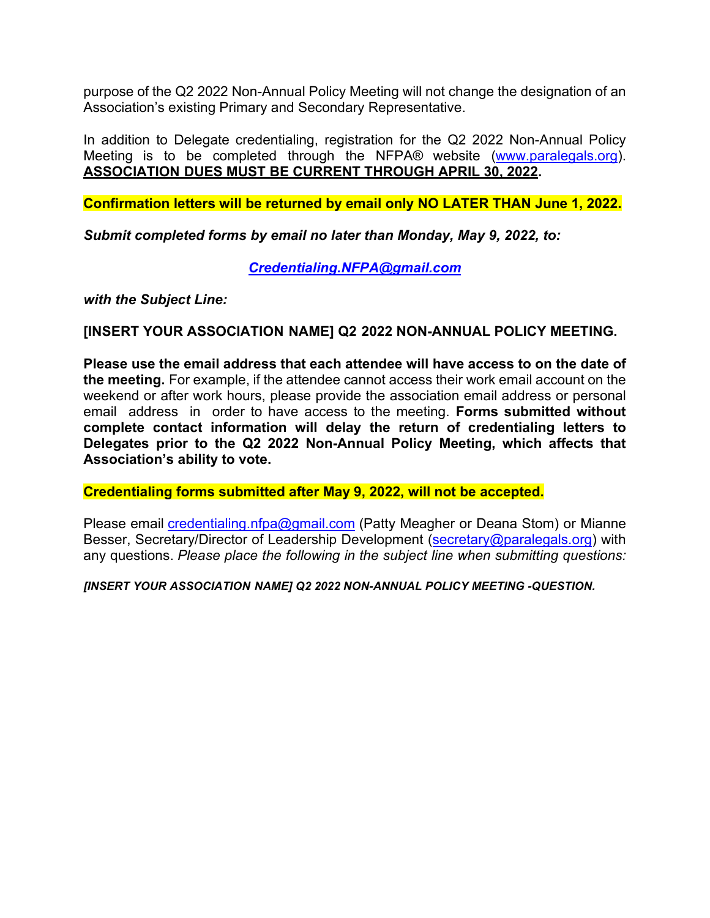purpose of the Q2 2022 Non-Annual Policy Meeting will not change the designation of an Association's existing Primary and Secondary Representative.

In addition to Delegate credentialing, registration for the Q2 2022 Non-Annual Policy Meeting is to be completed through the NFPA® website (www.paralegals.org). **ASSOCIATION DUES MUST BE CURRENT THROUGH APRIL 30, 2022.**

**Confirmation letters will be returned by email only NO LATER THAN June 1, 2022.**

*Submit completed forms by email no later than Monday, May 9, 2022, to:* 

*Credentialing.NFPA@gmail.com* 

*with the Subject Line:* 

## **[INSERT YOUR ASSOCIATION NAME] Q2 2022 NON-ANNUAL POLICY MEETING.**

**Please use the email address that each attendee will have access to on the date of the meeting.** For example, if the attendee cannot access their work email account on the weekend or after work hours, please provide the association email address or personal email address in order to have access to the meeting. **Forms submitted without complete contact information will delay the return of credentialing letters to Delegates prior to the Q2 2022 Non-Annual Policy Meeting, which affects that Association's ability to vote.**

**Credentialing forms submitted after May 9, 2022, will not be accepted.**

Please email credentialing.nfpa@gmail.com (Patty Meagher or Deana Stom) or Mianne Besser, Secretary/Director of Leadership Development (secretary@paralegals.org) with any questions. *Please place the following in the subject line when submitting questions:* 

*[INSERT YOUR ASSOCIATION NAME] Q2 2022 NON-ANNUAL POLICY MEETING -QUESTION.*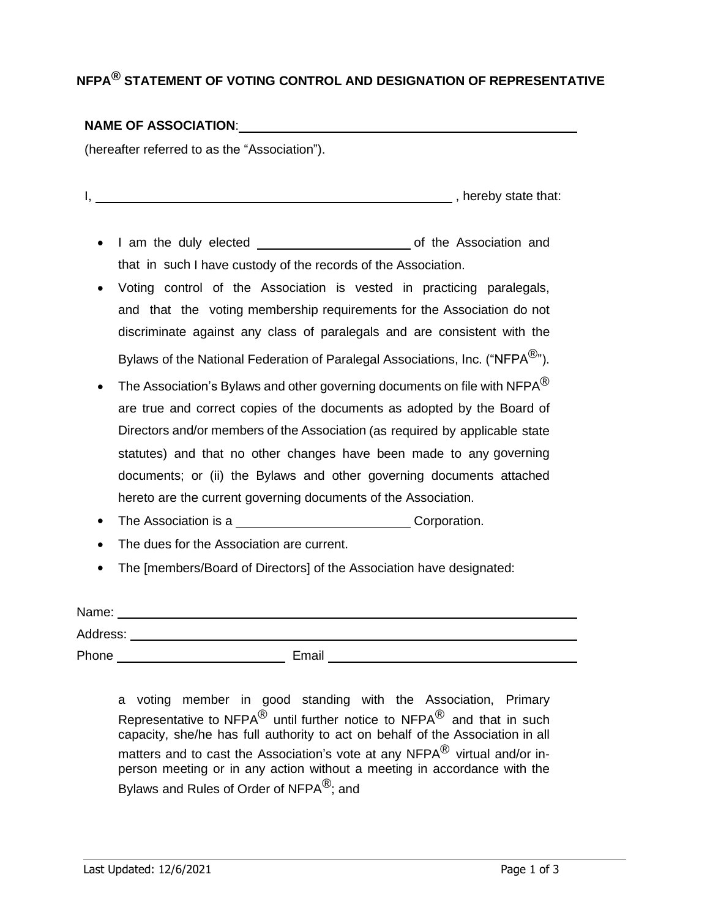# **NFPA® STATEMENT OF VOTING CONTROL AND DESIGNATION OF REPRESENTATIVE**

#### **NAME OF ASSOCIATION**:

(hereafter referred to as the "Association").

I, hereby state that:

- I am the duly elected of the Association and that in such I have custody of the records of the Association.
- Voting control of the Association is vested in practicing paralegals, and that the voting membership requirements for the Association do not discriminate against any class of paralegals and are consistent with the Bylaws of the National Federation of Paralegal Associations, Inc. ("NFPA<sup>®</sup>").
- $\bullet$  The Association's Bylaws and other governing documents on file with NFPA $^\text{\textregistered}$ are true and correct copies of the documents as adopted by the Board of Directors and/or members of the Association (as required by applicable state statutes) and that no other changes have been made to any governing documents; or (ii) the Bylaws and other governing documents attached hereto are the current governing documents of the Association.
- Final Association is a Corporation.
- The dues for the Association are current.
- The [members/Board of Directors] of the Association have designated:

| Name:    |       |  |  |  |  |
|----------|-------|--|--|--|--|
| Address: |       |  |  |  |  |
| Phone    | Email |  |  |  |  |

a voting member in good standing with the Association, Primary Representative to NFPA $^\text{\textregistered}$  until further notice to NFPA $^\text{\textregistered}$  and that in such capacity, she/he has full authority to act on behalf of the Association in all matters and to cast the Association's vote at any NFPA $^{\circledR}$  virtual and/or inperson meeting or in any action without a meeting in accordance with the Bylaws and Rules of Order of NFPA<sup>®</sup>; and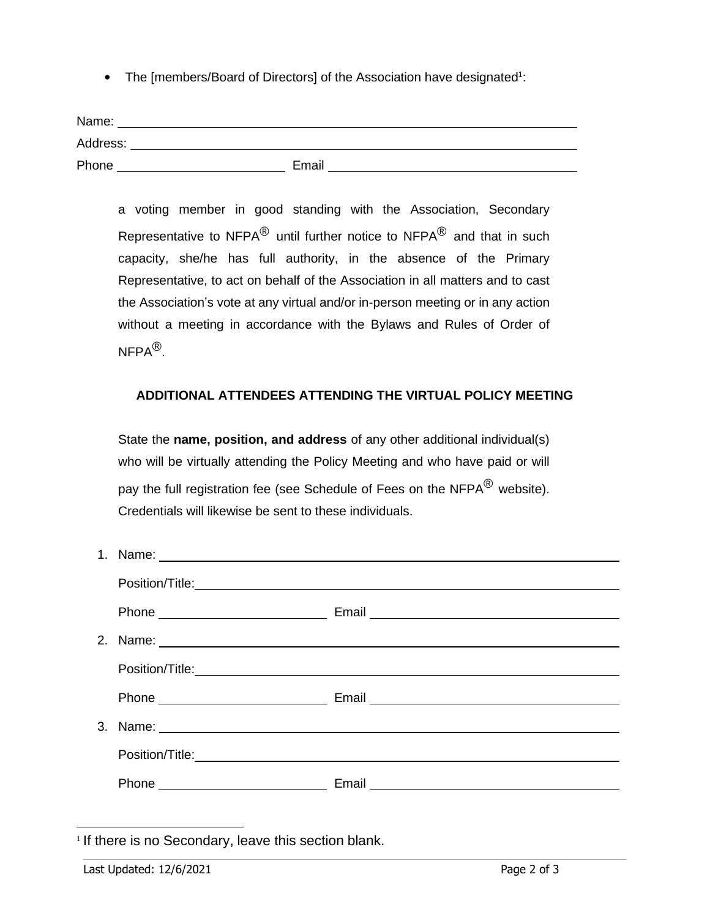• The [members/Board of Directors] of the Association have designated<sup>1</sup>:

| Name:    |       |
|----------|-------|
| Address: |       |
| Phone    | Email |

a voting member in good standing with the Association, Secondary Representative to NFPA $^{\circledR}$  until further notice to NFPA $^{\circledR}$  and that in such capacity, she/he has full authority, in the absence of the Primary Representative, to act on behalf of the Association in all matters and to cast the Association's vote at any virtual and/or in-person meeting or in any action without a meeting in accordance with the Bylaws and Rules of Order of NFPA $^\circledR$ .

## **ADDITIONAL ATTENDEES ATTENDING THE VIRTUAL POLICY MEETING**

State the **name, position, and address** of any other additional individual(s) who will be virtually attending the Policy Meeting and who have paid or will pay the full registration fee (see Schedule of Fees on the NFPA $^{\circledR}$  website). Credentials will likewise be sent to these individuals.

| 1. Name: 1. 2008. 2009. 2010. 2010. 2010. 2010. 2010. 2011. 2012. 2012. 2014. 2016. 2017. 2018. 2019. 2010. 20<br>2012. 2012. 2012. 2012. 2012. 2012. 2012. 2012. 2012. 2013. 2014. 2014. 2014. 2014. 2014. 2014. 2014. 2014. 20 |  |
|----------------------------------------------------------------------------------------------------------------------------------------------------------------------------------------------------------------------------------|--|
|                                                                                                                                                                                                                                  |  |
|                                                                                                                                                                                                                                  |  |
|                                                                                                                                                                                                                                  |  |
|                                                                                                                                                                                                                                  |  |
|                                                                                                                                                                                                                                  |  |
|                                                                                                                                                                                                                                  |  |
|                                                                                                                                                                                                                                  |  |
|                                                                                                                                                                                                                                  |  |
|                                                                                                                                                                                                                                  |  |

<sup>&</sup>lt;sup>1</sup> If there is no Secondary, leave this section blank.